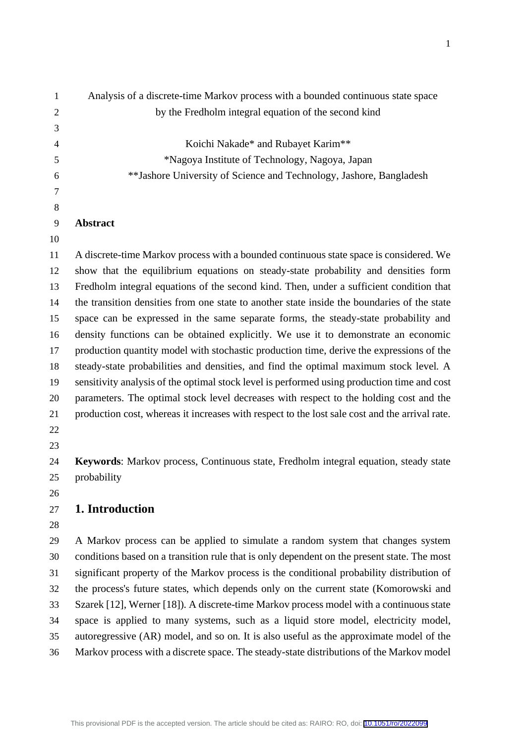| $\mathbf{1}$   | Analysis of a discrete-time Markov process with a bounded continuous state space               |
|----------------|------------------------------------------------------------------------------------------------|
| $\mathbf{2}$   | by the Fredholm integral equation of the second kind                                           |
| 3              |                                                                                                |
| $\overline{4}$ | Koichi Nakade* and Rubayet Karim**                                                             |
| 5              | *Nagoya Institute of Technology, Nagoya, Japan                                                 |
| 6              | ** Jashore University of Science and Technology, Jashore, Bangladesh                           |
| $\overline{7}$ |                                                                                                |
| 8              |                                                                                                |
| 9              | Abstract                                                                                       |
| 10             |                                                                                                |
| 11             | A discrete-time Markov process with a bounded continuous state space is considered. We         |
| 12             | show that the equilibrium equations on steady-state probability and densities form             |
| 13             | Fredholm integral equations of the second kind. Then, under a sufficient condition that        |
| 14             | the transition densities from one state to another state inside the boundaries of the state    |
| 15             | space can be expressed in the same separate forms, the steady-state probability and            |
| 16             | density functions can be obtained explicitly. We use it to demonstrate an economic             |
| 17             | production quantity model with stochastic production time, derive the expressions of the       |
| 18             | steady-state probabilities and densities, and find the optimal maximum stock level. A          |
| 19             | sensitivity analysis of the optimal stock level is performed using production time and cost    |
| 20             | parameters. The optimal stock level decreases with respect to the holding cost and the         |
| 21             | production cost, whereas it increases with respect to the lost sale cost and the arrival rate. |
| 22             |                                                                                                |
| 23             |                                                                                                |
| 24             | Keywords: Markov process, Continuous state, Fredholm integral equation, steady state           |
| 25             | probability                                                                                    |
| 26             |                                                                                                |
| 27             | 1. Introduction                                                                                |
| 28             |                                                                                                |
| 29             | A Markov process can be applied to simulate a random system that changes system                |
| 30             | conditions based on a transition rule that is only dependent on the present state. The most    |
| 31             | significant property of the Markov process is the conditional probability distribution of      |
| 32             | the process's future states, which depends only on the current state (Komorowski and           |
| 33             | Szarek [12], Werner [18]). A discrete-time Markov process model with a continuous state        |
| 34             | space is applied to many systems, such as a liquid store model, electricity model,             |

- autoregressive (AR) model, and so on. It is also useful as the approximate model of the
- Markov process with a discrete space. The steady-state distributions of the Markov model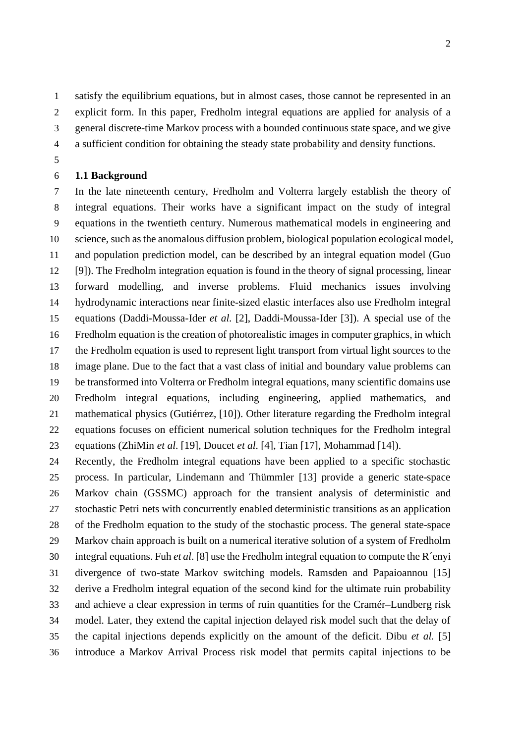satisfy the equilibrium equations, but in almost cases, those cannot be represented in an

- explicit form. In this paper, Fredholm integral equations are applied for analysis of a
- general discrete-time Markov process with a bounded continuous state space, and we give
- a sufficient condition for obtaining the steady state probability and density functions.
- 

#### **1.1 Background**

 In the late nineteenth century, Fredholm and Volterra largely establish the theory of integral equations. Their works have a significant impact on the study of integral equations in the twentieth century. Numerous mathematical models in engineering and science, such as the anomalous diffusion problem, biological population ecological model, and population prediction model, can be described by an integral equation model (Guo [9]). The Fredholm integration equation is found in the theory of signal processing, linear forward modelling, and inverse problems. Fluid mechanics issues involving hydrodynamic interactions near finite-sized elastic interfaces also use Fredholm integral equations (Daddi-Moussa-Ider *et al*. [2], Daddi-Moussa-Ider [3]). A special use of the Fredholm equation is the creation of photorealistic images in computer graphics, in which the Fredholm equation is used to represent light transport from virtual light sources to the image plane. Due to the fact that a vast class of initial and boundary value problems can be transformed into Volterra or Fredholm integral equations, many scientific domains use Fredholm integral equations, including engineering, applied mathematics, and mathematical physics (Gutiérrez, [10]). Other literature regarding the Fredholm integral equations focuses on efficient numerical solution techniques for the Fredholm integral equations (ZhiMin *et al*. [19], Doucet *et al*. [4], Tian [17], Mohammad [14]).

 Recently, the Fredholm integral equations have been applied to a specific stochastic process. In particular, Lindemann and Thümmler [13] provide a generic state-space Markov chain (GSSMC) approach for the transient analysis of deterministic and stochastic Petri nets with concurrently enabled deterministic transitions as an application of the Fredholm equation to the study of the stochastic process. The general state-space Markov chain approach is built on a numerical iterative solution of a system of Fredholm integral equations. Fuh *et al*. [8] use the Fredholm integral equation to compute the R´enyi divergence of two-state Markov switching models. Ramsden and Papaioannou [15] derive a Fredholm integral equation of the second kind for the ultimate ruin probability and achieve a clear expression in terms of ruin quantities for the Cramér–Lundberg risk model. Later, they extend the capital injection delayed risk model such that the delay of the capital injections depends explicitly on the amount of the deficit. Dibu *et al.* [5] introduce a Markov Arrival Process risk model that permits capital injections to be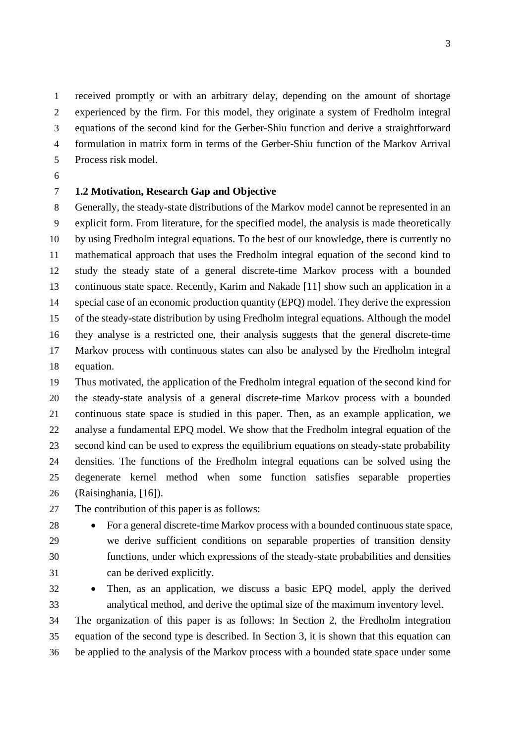received promptly or with an arbitrary delay, depending on the amount of shortage experienced by the firm. For this model, they originate a system of Fredholm integral equations of the second kind for the Gerber-Shiu function and derive a straightforward formulation in matrix form in terms of the Gerber-Shiu function of the Markov Arrival Process risk model.

### **1.2 Motivation, Research Gap and Objective**

 Generally, the steady-state distributions of the Markov model cannot be represented in an explicit form. From literature, for the specified model, the analysis is made theoretically by using Fredholm integral equations. To the best of our knowledge, there is currently no mathematical approach that uses the Fredholm integral equation of the second kind to study the steady state of a general discrete-time Markov process with a bounded continuous state space. Recently, Karim and Nakade [11] show such an application in a special case of an economic production quantity (EPQ) model. They derive the expression of the steady-state distribution by using Fredholm integral equations. Although the model they analyse is a restricted one, their analysis suggests that the general discrete-time Markov process with continuous states can also be analysed by the Fredholm integral equation.

 Thus motivated, the application of the Fredholm integral equation of the second kind for the steady-state analysis of a general discrete-time Markov process with a bounded continuous state space is studied in this paper. Then, as an example application, we analyse a fundamental EPQ model. We show that the Fredholm integral equation of the second kind can be used to express the equilibrium equations on steady-state probability densities. The functions of the Fredholm integral equations can be solved using the degenerate kernel method when some function satisfies separable properties (Raisinghania, [16]).

- The contribution of this paper is as follows:
- 
- 

 For a general discrete-time Markov process with a bounded continuous state space, we derive sufficient conditions on separable properties of transition density functions, under which expressions of the steady-state probabilities and densities can be derived explicitly.

 Then, as an application, we discuss a basic EPQ model, apply the derived analytical method, and derive the optimal size of the maximum inventory level.

 The organization of this paper is as follows: In Section 2, the Fredholm integration equation of the second type is described. In Section 3, it is shown that this equation can be applied to the analysis of the Markov process with a bounded state space under some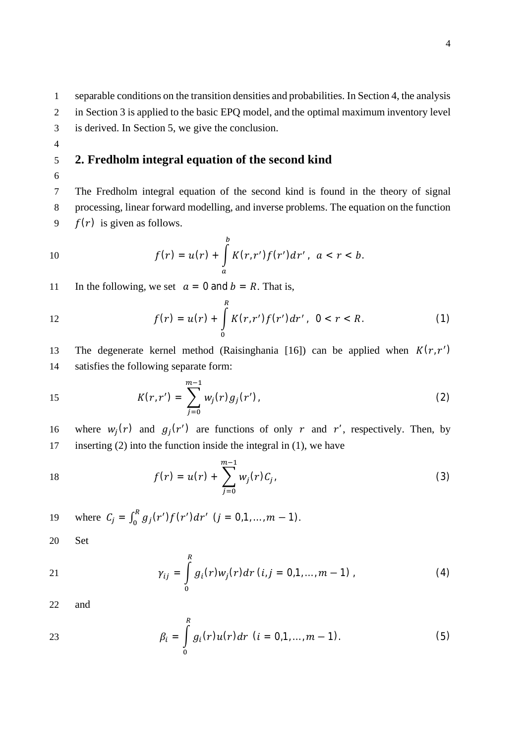1 separable conditions on the transition densities and probabilities. In Section 4, the analysis

- 2 in Section 3 is applied to the basic EPQ model, and the optimal maximum inventory level
- 3 is derived. In Section 5, we give the conclusion.
- 4

## 5 **2. Fredholm integral equation of the second kind**

6

7 The Fredholm integral equation of the second kind is found in the theory of signal 8 processing, linear forward modelling, and inverse problems. The equation on the function 9  $f(r)$  is given as follows.

10 
$$
f(r) = u(r) + \int_{a}^{b} K(r, r') f(r') dr', \quad a < r < b.
$$

11 In the following, we set  $a = 0$  and  $b = R$ . That is,

12 
$$
f(r) = u(r) + \int_{0}^{R} K(r, r') f(r') dr', \quad 0 < r < R.
$$
 (1)

13 The degenerate kernel method (Raisinghania [16]) can be applied when  $K(r, r')$ 14 satisfies the following separate form:

15 
$$
K(r,r') = \sum_{j=0}^{m-1} w_j(r) g_j(r'),
$$
 (2)

16 where  $w_j(r)$  and  $g_j(r')$  are functions of only r and r', respectively. Then, by 17 inserting (2) into the function inside the integral in (1), we have

18 
$$
f(r) = u(r) + \sum_{j=0}^{m-1} w_j(r) C_j,
$$
 (3)

19 where 
$$
C_j = \int_0^R g_j(r') f(r') dr'
$$
  $(j = 0, 1, ..., m - 1)$ .

20 Set

21 
$$
\gamma_{ij} = \int_{0}^{R} g_i(r) w_j(r) dr \ (i, j = 0, 1, ..., m - 1) \tag{4}
$$

22 and

23 
$$
\beta_i = \int_0^R g_i(r)u(r)dr \ (i = 0, 1, ..., m-1).
$$
 (5)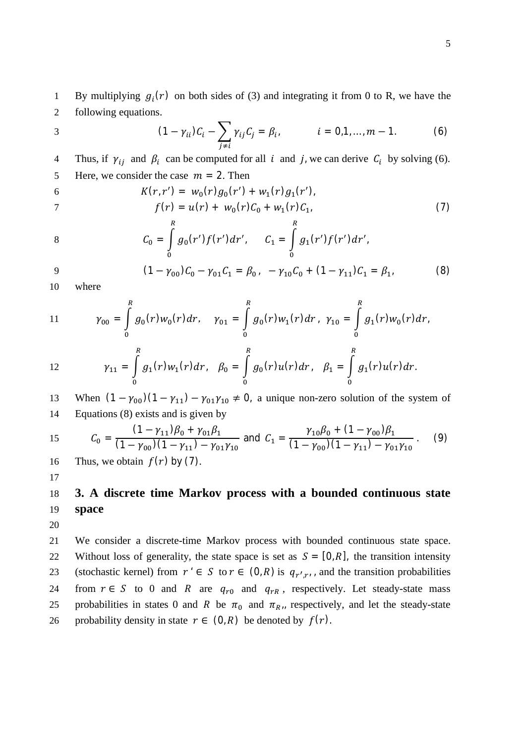By multiplying  $g_i(r)$  on both sides of (3) and integrating it from 0 to R, we have the 2 following equations.

3 
$$
(1 - \gamma_{ii})C_i - \sum_{j \neq i} \gamma_{ij}C_j = \beta_i, \qquad i = 0, 1, ..., m - 1.
$$
 (6)

Thus, if  $\gamma_{ij}$  and  $\beta_i$  can be computed for all i and j, we can derive  $C_i$  by solving (6). 5 Here, we consider the case  $m = 2$ . Then

6 
$$
K(r,r') = w_0(r)g_0(r') + w_1(r)g_1(r'),
$$
  
7 
$$
f(r) = u(r) + w_0(r)C_0 + w_1(r)C_1,
$$
 (7)

8 
$$
C_0 = \int_0^R g_0(r')f(r')dr', \qquad C_1 = \int_0^R g_1(r')f(r')dr',
$$

$$
9 \qquad (1 - \gamma_{00})C_0 - \gamma_{01}C_1 = \beta_{0} \qquad -\gamma_{10}C_0 + (1 - \gamma_{11})C_1 = \beta_{1} \qquad (8)
$$

10 where

11 
$$
\gamma_{00} = \int_{0}^{R} g_0(r) w_0(r) dr, \quad \gamma_{01} = \int_{0}^{R} g_0(r) w_1(r) dr, \quad \gamma_{10} = \int_{0}^{R} g_1(r) w_0(r) dr,
$$

12 
$$
\gamma_{11} = \int_{0}^{R} g_1(r) w_1(r) dr, \quad \beta_0 = \int_{0}^{R} g_0(r) u(r) dr, \quad \beta_1 = \int_{0}^{R} g_1(r) u(r) dr.
$$

13 When  $(1 - \gamma_{00})(1 - \gamma_{11}) - \gamma_{01}\gamma_{10} \neq 0$ , a unique non-zero solution of the system of 14 Equations (8) exists and is given by

15 
$$
C_0 = \frac{(1 - \gamma_{11})\beta_0 + \gamma_{01}\beta_1}{(1 - \gamma_{00})(1 - \gamma_{11}) - \gamma_{01}\gamma_{10}}
$$
 and  $C_1 = \frac{\gamma_{10}\beta_0 + (1 - \gamma_{00})\beta_1}{(1 - \gamma_{00})(1 - \gamma_{11}) - \gamma_{01}\gamma_{10}}$ . (9)

16 Thus, we obtain  $f(r)$  by (7).

# 18 **3. A discrete time Markov process with a bounded continuous state** 19 **space**

20

17

21 We consider a discrete-time Markov process with bounded continuous state space. 22 Without loss of generality, the state space is set as  $S = [0, R]$ , the transition intensity 23 (stochastic kernel) from  $r \in S$  to  $r \in (0, R)$  is  $q_{r',r}$ , and the transition probabilities 24 from  $r \in S$  to 0 and R are  $q_{r0}$  and  $q_{rR}$ , respectively. Let steady-state mass 25 probabilities in states 0 and R be  $\pi_0$  and  $\pi_{R_{11}}$  respectively, and let the steady-state 26 probability density in state  $r \in (0, R)$  be denoted by  $f(r)$ .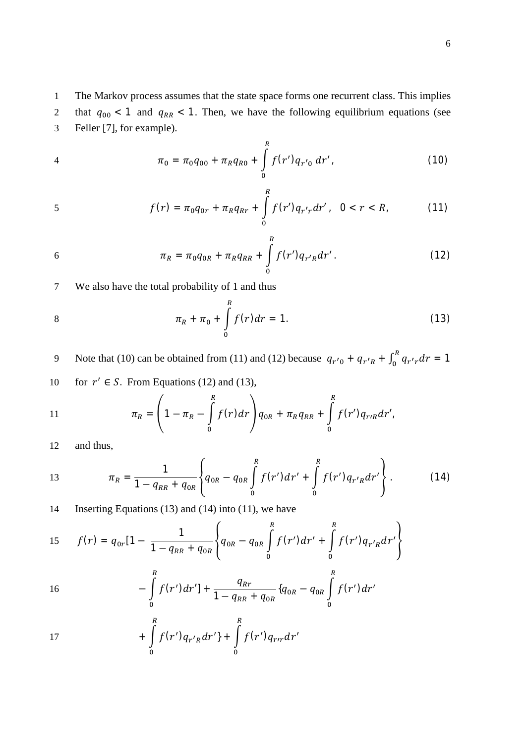1 The Markov process assumes that the state space forms one recurrent class. This implies 2 that  $q_{00}$  < 1 and  $q_{RR}$  < 1. Then, we have the following equilibrium equations (see 3 Feller [7], for example).

4 
$$
\pi_0 = \pi_0 q_{00} + \pi_R q_{R0} + \int_0^R f(r') q_{r'0} dr',
$$
 (10)

$$
f(r) = \pi_0 q_{0r} + \pi_R q_{Rr} + \int_{0}^{R} f(r') q_{r'r} dr', \quad 0 < r < R,\tag{11}
$$

$$
\pi_R = \pi_0 q_{0R} + \pi_R q_{RR} + \int_{0}^{R} f(r') q_{r'R} dr'.
$$
 (12)

7 We also have the total probability of 1 and thus

$$
\pi_R + \pi_0 + \int_0^R f(r) dr = 1.
$$
 (13)

9 Note that (10) can be obtained from (11) and (12) because  $q_{r'0} + q_{r'R} + \int_0^R q_{r'r} dr = 1$ 

10 for 
$$
r' \in S
$$
. From Equations (12) and (13),

11 
$$
\pi_R = \left(1 - \pi_R - \int_0^R f(r) dr\right) q_{0R} + \pi_R q_{RR} + \int_0^R f(r') q_{rrR} dr',
$$

12 and thus,

13 
$$
\pi_R = \frac{1}{1 - q_{RR} + q_{0R}} \left\{ q_{0R} - q_{0R} \int\limits_{0}^{R} f(r') dr' + \int\limits_{0}^{R} f(r') q_{r'R} dr' \right\}.
$$
 (14)

14 Inserting Equations (13) and (14) into (11), we have

15 
$$
f(r) = q_{0r}[1 - \frac{1}{1 - q_{RR} + q_{0R}} \left\{ q_{0R} - q_{0R} \int_{0}^{R} f(r') dr' + \int_{0}^{R} f(r') q_{r'R} dr' \right\}
$$

16 
$$
- \int_{0}^{R} f(r') dr' ] + \frac{q_{Rr}}{1 - q_{RR} + q_{0R}} \{q_{0R} - q_{0R} \int_{0}^{R} f(r') dr'
$$

17 
$$
+ \int_{0}^{R} f(r')q_{r'R}dr' + \int_{0}^{R} f(r')q_{rr}dr'
$$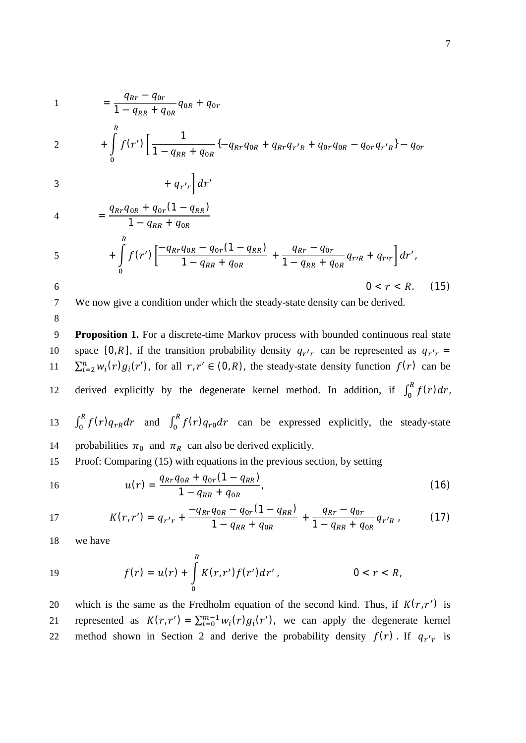$$
1 = \frac{q_{Rr} - q_{0r}}{1 - q_{RR} + q_{0R}} q_{0R} + q_{0r}
$$

$$
2 + \int_{0}^{R} f(r') \left[ \frac{1}{1 - q_{RR} + q_{0R}} \left\{ -q_{Rr}q_{0R} + q_{Rr}q_{r'R} + q_{0r}q_{0R} - q_{0r}q_{r'R} \right\} - q_{0r} \right]
$$

$$
+ q_{r'r}\Big]dr'
$$

4 
$$
= \frac{q_{Rr}q_{0R} + q_{0r}(1 - q_{RR})}{1 - q_{RR} + q_{0R}} + \int_{0}^{R} f(r') \left[ \frac{-q_{Rr}q_{0R} - q_{0r}(1 - q_{RR})}{1 - q_{RR} + q_{0R}} + \frac{q_{Rr} - q_{0r}}{1 - q_{RR} + q_{0R}} q_{r'R} + q_{rr} \right] dr',
$$
6 
$$
0 < r < R.
$$
 (15)

7 We now give a condition under which the steady-state density can be derived.

8

9 **Proposition 1.** For a discrete-time Markov process with bounded continuous real state 10 space [0, R], if the transition probability density  $q_{r'r}$  can be represented as  $q_{r'r}$  = 11  $\sum_{i=2}^{n} w_i(r) g_i(r')$ , for all  $r, r' \in (0, R)$ , the steady-state density function  $f(r)$  can be 12 derived explicitly by the degenerate kernel method. In addition, if  $\int_0^R f(r) dr$ , 13  $\int_0^R f(r) q_{rR} dr$  and  $\int_0^R f(r) q_{r0} dr$  can be expressed explicitly, the steady-state 14 probabilities  $\pi_0$  and  $\pi_R$  can also be derived explicitly. 15 Proof: Comparing (15) with equations in the previous section, by setting

$$
u(r) = \frac{q_{Rr}q_{0R} + q_{0r}(1 - q_{RR})}{1 - q_{RR} + q_{0R}},
$$
\n(16)

17 
$$
K(r,r') = q_{r'r} + \frac{-q_{Rr}q_{0R} - q_{0r}(1 - q_{RR})}{1 - q_{RR} + q_{0R}} + \frac{q_{Rr} - q_{0r}}{1 - q_{RR} + q_{0R}}q_{r'R} \qquad (17)
$$

18 we have

19 
$$
f(r) = u(r) + \int_{0}^{R} K(r, r') f(r') dr', \qquad 0 < r < R,
$$

20 which is the same as the Fredholm equation of the second kind. Thus, if  $K(r, r')$  is 21 represented as  $K(r, r') = \sum_{i=0}^{m-1} w_i(r) g_i(r')$ , we can apply the degenerate kernel 22 method shown in Section 2 and derive the probability density  $f(r)$ . If  $q_{r'r}$  is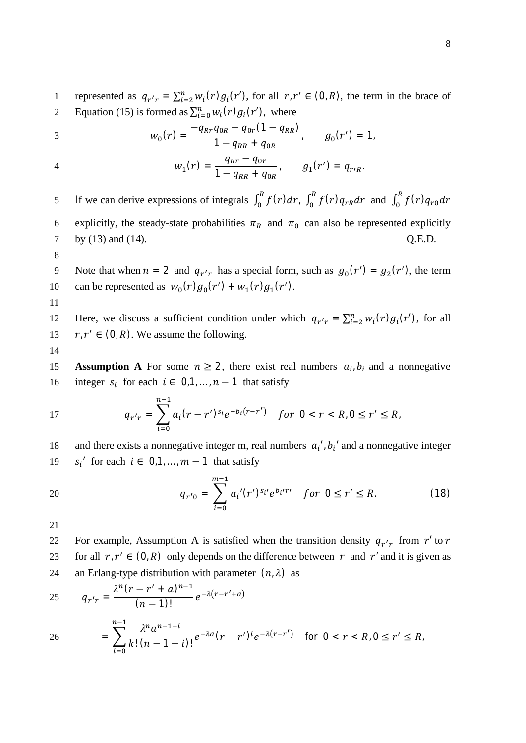1 represented as  $q_{r'r} = \sum_{i=2}^{n} w_i(r) g_i(r')$ , for all  $r, r' \in (0, R)$ , the term in the brace of 2 Equation (15) is formed as  $\sum_{i=0}^{n} w_i(r) g_i(r')$ , where

3 
$$
w_0(r) = \frac{-q_{Rr}q_{0R} - q_{0r}(1 - q_{RR})}{1 - q_{RR} + q_{0R}}, \qquad g_0(r') = 1,
$$

4 
$$
w_1(r) = \frac{q_{Rr} - q_{0r}}{1 - q_{RR} + q_{0R}}, \qquad g_1(r') = q_{r/R}.
$$

If we can derive expressions of integrals  $\int_0^R f(r) dr$ ,  $\int_0^R f(r) q_{rR} dr$  and  $\int_0^R f(r) q_{r0} dr$ 5 6 explicitly, the steady-state probabilities  $\pi_R$  and  $\pi_0$  can also be represented explicitly 7 by (13) and (14).  $Q.E.D.$ 

8

9 Note that when  $n = 2$  and  $q_{r'r}$  has a special form, such as  $g_0(r') = g_2(r')$ , the term 10 can be represented as  $w_0(r)g_0(r') + w_1(r)g_1(r')$ .

12 Here, we discuss a sufficient condition under which  $q_{r'r} = \sum_{i=2}^{n} w_i(r) g_i(r')$ , for all 13  $r, r' \in (0, R)$ . We assume the following.

14

11

**Assumption A** For some  $n \ge 2$ , there exist real numbers  $a_i, b_i$  and a nonnegative integer  $s_i$  for each  $i \in 0,1,..., n-1$  that satisfy

17 
$$
q_{r'r} = \sum_{i=0}^{n-1} a_i (r - r')^{s_i} e^{-b_i (r - r')} \quad \text{for } 0 < r < R, 0 \le r' \le R,
$$

18 and there exists a nonnegative integer m, real numbers  $a_i$ ,  $b_i$  and a nonnegative integer 19  $s_i'$  for each  $i \in [0,1,...,m-1]$  that satisfy

20 
$$
q_{r'0} = \sum_{i=0}^{m-1} a_i'(r')^{s_i} e^{b_i' r'} \quad \text{for } 0 \le r' \le R. \tag{18}
$$

21

22 For example, Assumption A is satisfied when the transition density  $q_{r'r}$  from r' to r 23 for all  $r, r' \in (0, R)$  only depends on the difference between  $r$  and  $r'$  and it is given as 24 an Erlang-type distribution with parameter  $(n, \lambda)$  as

25 
$$
q_{r'r} = \frac{\lambda^n (r - r' + a)^{n-1}}{(n-1)!} e^{-\lambda (r - r' + a)}
$$
  
26 
$$
= \sum_{i=0}^{n-1} \frac{\lambda^n a^{n-1-i}}{k! (n-1-i)!} e^{-\lambda a} (r - r')^i e^{-\lambda (r - r')} \text{ for } 0 < r < R, 0 \le r' \le R,
$$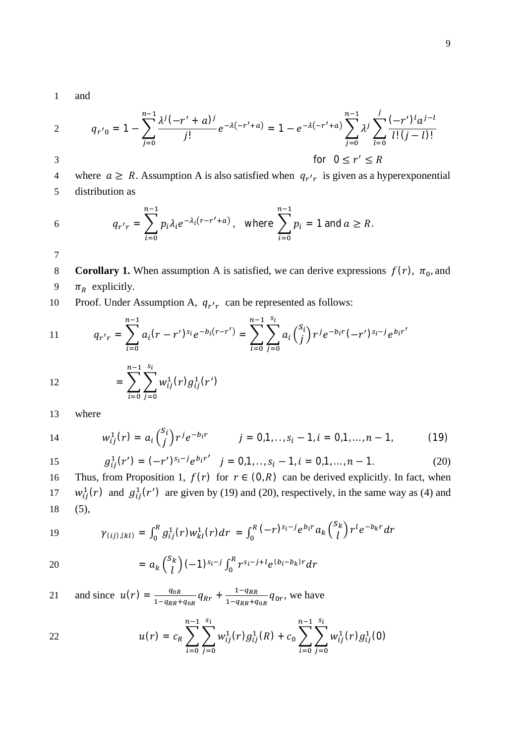1 and

2 
$$
q_{r'0} = 1 - \sum_{j=0}^{n-1} \frac{\lambda^j (-r' + a)^j}{j!} e^{-\lambda (-r' + a)} = 1 - e^{-\lambda (-r' + a)} \sum_{j=0}^{n-1} \lambda^j \sum_{l=0}^j \frac{(-r')^l a^{j-l}}{l! (j-l)!}
$$
  
3 for  $0 \le r' \le R$ 

4 where  $a \ge R$ . Assumption A is also satisfied when  $q_{r'r}$  is given as a hyperexponential 5 distribution as

6 
$$
q_{r'r} = \sum_{i=0}^{n-1} p_i \lambda_i e^{-\lambda_i (r - r' + a)}, \text{ where } \sum_{i=0}^{n-1} p_i = 1 \text{ and } a \ge R.
$$

7

- 8 **Corollary 1.** When assumption A is satisfied, we can derive expressions  $f(r)$ ,  $\pi_0$ , and
- 9  $\pi_R$  explicitly.

10 Proof. Under Assumption A,  $q_{r'r}$  can be represented as follows:

11 
$$
q_{r'r} = \sum_{i=0}^{n-1} a_i (r - r')^{s_i} e^{-b_i (r - r')} = \sum_{i=0}^{n-1} \sum_{j=0}^{s_i} a_i {s_i \choose j} r^j e^{-b_i r} (-r')^{s_i - j} e^{b_i r'}
$$
  
12 
$$
= \sum_{i=0}^{n-1} \sum_{j=0}^{s_i} w_{ij}^1(r) g_{ij}^1(r')
$$

13 where

14 
$$
w_{ij}^1(r) = a_i {s_i \choose j} r^j e^{-b_i r}
$$
  $j = 0, 1, ..., s_i - 1, i = 0, 1, ..., n - 1,$  (19)

15 
$$
g_{ij}^1(r') = (-r')^{s_i-j} e^{b_i r'} \quad j = 0, 1, ..., s_i - 1, i = 0, 1, ..., n - 1.
$$
 (20)

16 Thus, from Proposition 1,  $f(r)$  for  $r \in (0, R)$  can be derived explicitly. In fact, when 17  $w_{ij}^1(r)$  and  $g_{ij}^1(r')$  are given by (19) and (20), respectively, in the same way as (4) and 18 (5),

19 
$$
\gamma_{(ij),(kl)} = \int_0^R g_{ij}^1(r) w_{kl}^1(r) dr = \int_0^R (-r)^{s_i-j} e^{b_i r} a_k {s_k \choose l} r^l e^{-b_k r} dr
$$

20 = 
$$
a_k {S_k \choose l} (-1)^{s_i-j} \int_0^R r^{s_i-j+l} e^{(b_i-b_k)r} dr
$$

and since  $u(r) = \frac{q_{0R}}{1 - r}$  $\frac{q_{0R}}{1-q_{RR}+q_{0R}}q_{Rr} + \frac{1-q_{RR}}{1-q_{RR}+q_{0R}}$ 21 and since  $u(r) = \frac{q_{0R}}{1-q_{RR}+q_{0R}} q_{Rr} + \frac{1-q_{RR}}{1-q_{RR}+q_{0R}} q_{0r}$ , we have

22 
$$
u(r) = c_R \sum_{i=0}^{n-1} \sum_{j=0}^{s_i} w_{ij}^1(r) g_{ij}^1(R) + c_0 \sum_{i=0}^{n-1} \sum_{j=0}^{s_i} w_{ij}^1(r) g_{ij}^1(0)
$$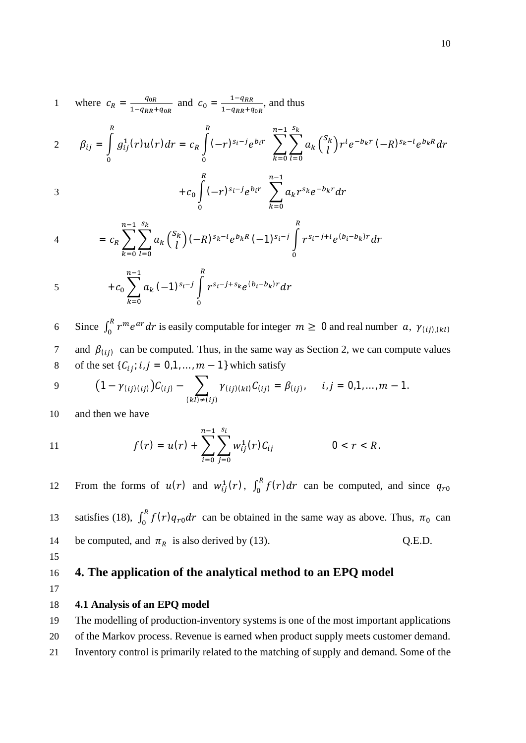1 where 
$$
c_R = \frac{q_{0R}}{1 - q_{RR} + q_{0R}}
$$
 and  $c_0 = \frac{1 - q_{RR}}{1 - q_{RR} + q_{0R}}$ , and thus

$$
2 \qquad \beta_{ij} = \int\limits_{0}^{R} g_{ij}^{1}(r)u(r)dr = c_{R}\int\limits_{0}^{R} (-r)^{s_{i}-j}e^{b_{i}r} \sum\limits_{k=0}^{n-1}\sum\limits_{l=0}^{s_{k}} a_{k} {s_{k}\choose l}r^{l}e^{-b_{k}r} (-R)^{s_{k}-l}e^{b_{k}R}dr
$$

3 
$$
+c_0 \int_0^R (-r)^{s_i-j} e^{b_i r} \sum_{k=0}^{n-1} a_k r^{s_k} e^{-b_k r} dr
$$

4 
$$
= c_R \sum_{k=0}^{n-1} \sum_{l=0}^{s_k} a_k {s_k \choose l} (-R)^{s_k-l} e^{b_k R} (-1)^{s_i-j} \int_0^R r^{s_i-j+l} e^{(b_i-b_k)r} dr
$$

$$
+c_0\sum_{k=0}^{n-1}a_k(-1)^{s_i-j}\int_0^R r^{s_i-j+s_k}e^{(b_i-b_k)r}dr
$$

6 Since  $\int_0^R r^m e^{ar} dr$  is easily computable for integer  $m \ge 0$  and real number  $a, \gamma_{(ij),(kl)}$ 7 and  $\beta(i)$  can be computed. Thus, in the same way as Section 2, we can compute values 8 of the set  $\{C_{ij}; i, j = 0, 1, ..., m - 1\}$  which satisfy

9 
$$
(1 - \gamma_{(ij)(ij)})C_{(ij)} - \sum_{(kl)\neq (ij)} \gamma_{(ij)(kl)}C_{(ij)} = \beta_{(ij)}, \quad i,j = 0,1,...,m-1.
$$

10 and then we have

11 
$$
f(r) = u(r) + \sum_{i=0}^{n-1} \sum_{j=0}^{s_i} w_{ij}^1(r) C_{ij} \qquad 0 < r < R.
$$

12 From the forms of  $u(r)$  and  $w_{ij}^1(r)$ ,  $\int_0^R f(r) dr$  can be computed, and since  $q_{r0}$ 

13 satisfies (18),  $\int_0^R f(r) q_{r0} dr$  can be obtained in the same way as above. Thus,  $\pi_0$  can 14 be computed, and  $\pi_R$  is also derived by (13). Q.E.D.

15

# 16 **4. The application of the analytical method to an EPQ model**

17

#### 18 **4.1 Analysis of an EPQ model**

19 The modelling of production-inventory systems is one of the most important applications

20 of the Markov process. Revenue is earned when product supply meets customer demand.

21 Inventory control is primarily related to the matching of supply and demand. Some of the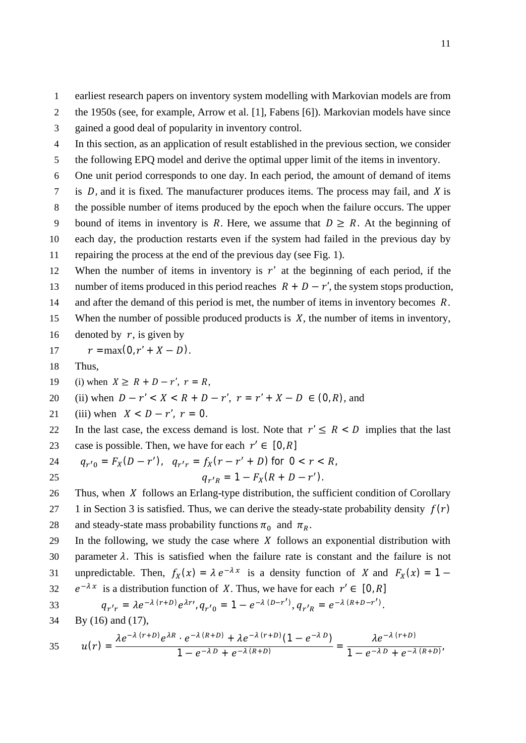- 2 the 1950s (see, for example, Arrow et al. [1], Fabens [6]). Markovian models have since
- 3 gained a good deal of popularity in inventory control.
- 4 In this section, as an application of result established in the previous section, we consider
- 5 the following EPQ model and derive the optimal upper limit of the items in inventory.
- 6 One unit period corresponds to one day. In each period, the amount of demand of items
- $7$  is  $D$ , and it is fixed. The manufacturer produces items. The process may fail, and  $\overline{X}$  is
- 8 the possible number of items produced by the epoch when the failure occurs. The upper
- 9 bound of items in inventory is R. Here, we assume that  $D \ge R$ . At the beginning of
- 10 each day, the production restarts even if the system had failed in the previous day by
- 11 repairing the process at the end of the previous day (see Fig. 1).
- 12 When the number of items in inventory is  $r'$  at the beginning of each period, if the 13 number of items produced in this period reaches  $R + D - r'$ , the system stops production,
- 14 and after the demand of this period is met, the number of items in inventory becomes  $R$ .
- 15 When the number of possible produced products is  $X$ , the number of items in inventory,
- 16 denoted by  $r$ , is given by
- 17  $r = \max(0, r' + X D).$
- 18 Thus,
- 19 (i) when  $X \ge R + D r'$ ,  $r = R$ ,
- 20 (ii) when  $D r' < X < R + D r'$ ,  $r = r' + X D \in (0, R)$ , and
- 21 (iii) when  $X < D r'$ ,  $r = 0$ .
- 22 In the last case, the excess demand is lost. Note that  $r' \leq R < D$  implies that the last 23 case is possible. Then, we have for each  $r' \in [0, R]$
- 24  $q_{r'0} = F_X(D r')$ ,  $q_{r'r} = f_X(r r' + D)$  for  $0 < r < R$ ,
- 25  $q_{r'R} = 1 F_X(R + D r').$
- 26 Thus, when  $X$  follows an Erlang-type distribution, the sufficient condition of Corollary 27 1 in Section 3 is satisfied. Thus, we can derive the steady-state probability density  $f(r)$ 28 and steady-state mass probability functions  $\pi_0$  and  $\pi_R$ .
- 29 In the following, we study the case where  $X$  follows an exponential distribution with 30 parameter  $\lambda$ . This is satisfied when the failure rate is constant and the failure is not 31 unpredictable. Then,  $f_X(x) = \lambda e^{-\lambda x}$  is a density function of X and  $F_X(x) = 1 -$

32 
$$
e^{-\lambda x}
$$
 is a distribution function of *X*. Thus, we have for each  $r' \in [0, R]$   
33  $q_{r'r} = \lambda e^{-\lambda (r+D)} e^{\lambda r'} , q_{r'0} = 1 - e^{-\lambda (D-r')}, q_{r'R} = e^{-\lambda (R+D-r')}.$ 

34 By (16) and (17),

$$
35 \qquad u(r) = \frac{\lambda e^{-\lambda (r+D)} e^{\lambda R} \cdot e^{-\lambda (R+D)} + \lambda e^{-\lambda (r+D)} (1 - e^{-\lambda D})}{1 - e^{-\lambda D} + e^{-\lambda (R+D)}} = \frac{\lambda e^{-\lambda (r+D)}}{1 - e^{-\lambda D} + e^{-\lambda (R+D)}}
$$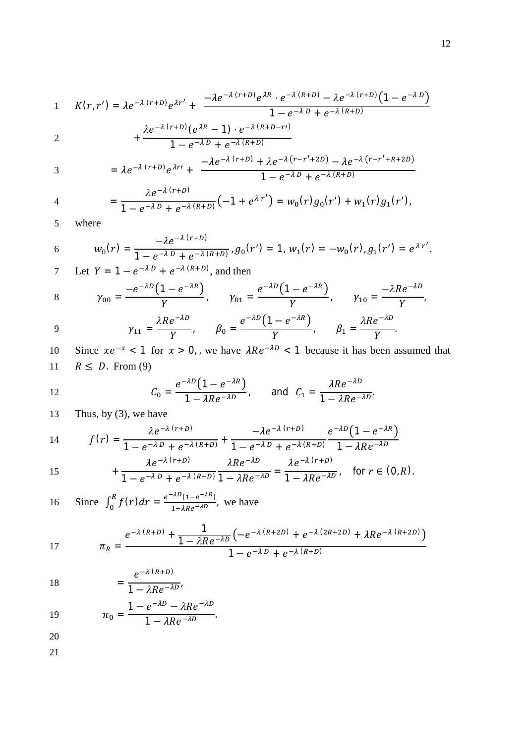1 
$$
K(r,r') = \lambda e^{-\lambda (r+D)} e^{\lambda r'} + \frac{-\lambda e^{-\lambda (r+D)} e^{\lambda R} \cdot e^{-\lambda (R+D)} - \lambda e^{-\lambda (r+D)} (1 - e^{-\lambda D})}{1 - e^{-\lambda D} + e^{-\lambda (R+D)}}
$$
  
2  $+ \frac{\lambda e^{-\lambda (r+D)} (e^{\lambda R} - 1) \cdot e^{-\lambda (R+D-r)}}{1 - e^{-\lambda D} + e^{-\lambda (R+D)}}$ 

$$
3 = \lambda e^{-\lambda (r+D)} e^{\lambda r} + \frac{-\lambda e^{-\lambda (r+D)} + \lambda e^{-\lambda (r-r'+2D)} - \lambda e^{-\lambda (r-r'+R+2D)}}{1 - e^{-\lambda D} + e^{-\lambda (R+D)}}
$$

4 
$$
= \frac{\lambda e^{-\lambda (r+D)}}{1 - e^{-\lambda D} + e^{-\lambda (R+D)}} \big( -1 + e^{\lambda r'} \big) = w_0(r) g_0(r') + w_1(r) g_1(r'),
$$

5 where

6 
$$
w_0(r) = \frac{-\lambda e^{-\lambda (r+D)}}{1 - e^{-\lambda D} + e^{-\lambda (R+D)}} g_0(r') = 1, w_1(r) = -w_0(r), g_1(r') = e^{\lambda r'}.
$$

7 Let 
$$
Y = 1 - e^{-\lambda D} + e^{-\lambda (R+D)}
$$
, and then

8 
$$
\gamma_{00} = \frac{-e^{-\lambda D} (1 - e^{-\lambda R})}{Y},
$$
  $\gamma_{01} = \frac{e^{-\lambda D} (1 - e^{-\lambda R})}{Y},$   $\gamma_{10} = \frac{-\lambda R e^{-\lambda D}}{Y},$   
 $\lambda R e^{-\lambda D}$   $e^{-\lambda D} (1 - e^{-\lambda R})$   $\lambda R e^{-\lambda D}$ 

$$
\gamma_{11} = \frac{\lambda Re^{-\lambda D}}{Y}, \qquad \beta_0 = \frac{e^{-\lambda D} (1 - e^{-\lambda R})}{Y}, \qquad \beta_1 = \frac{\lambda Re^{-\lambda D}}{Y}.
$$

10 Since  $xe^{-x} < 1$  for  $x > 0$ , we have  $\lambda Re^{-\lambda D} < 1$  because it has been assumed that 11  $R \le D$ . From (9)

12 
$$
C_0 = \frac{e^{-\lambda D} (1 - e^{-\lambda R})}{1 - \lambda Re^{-\lambda D}}
$$
, and  $C_1 = \frac{\lambda Re^{-\lambda D}}{1 - \lambda Re^{-\lambda D}}$ .

13 Thus, by (3), we have

14 
$$
f(r) = \frac{\lambda e^{-\lambda (r+D)}}{1 - e^{-\lambda D} + e^{-\lambda (R+D)}} + \frac{-\lambda e^{-\lambda (r+D)}}{1 - e^{-\lambda D} + e^{-\lambda (R+D)}} + \frac{e^{-\lambda D} (1 - e^{-\lambda R})}{1 - \lambda Re^{-\lambda D}}
$$

15 
$$
\lambda e^{-\lambda (r+D)} + \frac{\lambda e^{-\lambda (r+D)}}{1 - e^{-\lambda D} + e^{-\lambda (R+D)}} \frac{\lambda Re^{-\lambda D}}{1 - \lambda Re^{-\lambda D}} = \frac{\lambda e^{-\lambda (r+D)}}{1 - \lambda Re^{-\lambda D}} , \text{ for } r \in (0, R).
$$

16 Since 
$$
\int_0^R f(r) dr = \frac{e^{-\lambda D} (1 - e^{-\lambda R})}{1 - \lambda Re^{-\lambda D}}
$$
, we have

17 
$$
\pi_R = \frac{e^{-\lambda (R+D)} + \frac{1}{1 - \lambda Re^{-\lambda D}} \left( -e^{-\lambda (R+2D)} + e^{-\lambda (2R+2D)} + \lambda Re^{-\lambda (R+2D)} \right)}{1 - e^{-\lambda D} + e^{-\lambda (R+D)}}
$$

$$
18\,
$$

18 
$$
= \frac{e^{-\lambda (R+D)}}{1 - \lambda Re^{-\lambda D}}
$$

19 
$$
\pi_0 = \frac{1 - e^{-\lambda D} - \lambda Re^{-\lambda D}}{1 - \lambda Re^{-\lambda D}}.
$$

20

21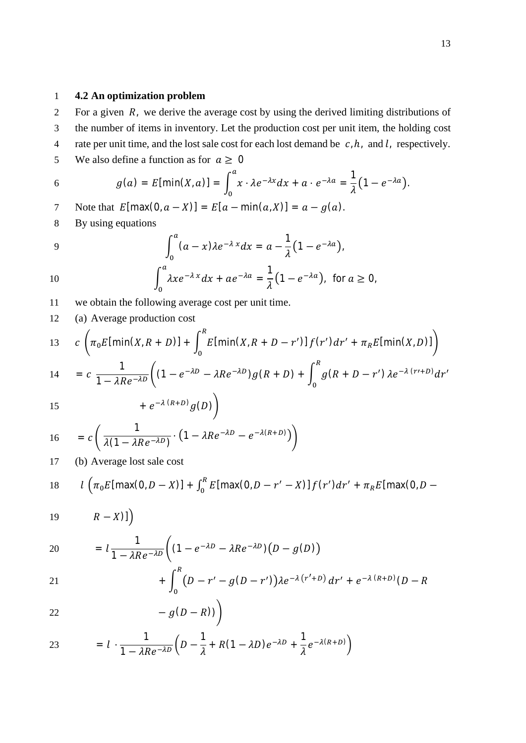#### 1 **4.2 An optimization problem**

2 For a given  $R$ , we derive the average cost by using the derived limiting distributions of 3 the number of items in inventory. Let the production cost per unit item, the holding cost 4 rate per unit time, and the lost sale cost for each lost demand be  $c, h$ , and l, respectively. 5 We also define a function as for  $a \ge 0$ 

6 
$$
g(a) = E[\min(X, a)] = \int_0^a x \cdot \lambda e^{-\lambda x} dx + a \cdot e^{-\lambda a} = \frac{1}{\lambda} (1 - e^{-\lambda a}).
$$

7 Note that  $E[\max(0, a - X)] = E[a - \min(a, X)] = a - g(a)$ .

8 By using equations

9 
$$
\int_0^a (a-x)\lambda e^{-\lambda x} dx = a - \frac{1}{\lambda} (1 - e^{-\lambda a}),
$$

10 
$$
\int_0^a \lambda x e^{-\lambda x} dx + a e^{-\lambda a} = \frac{1}{\lambda} (1 - e^{-\lambda a}), \text{ for } a \ge 0,
$$

11 we obtain the following average cost per unit time.

12 (a) Average production cost  $\sqrt{ }$  $R$ 

13 
$$
c \left( \pi_0 E[\min(X, R + D)] + \int_0^R E[\min(X, R + D - r')] f(r') dr' + \pi_R E[\min(X, D)] \right)
$$
  
\n14  $c \left( 1 - \frac{2}{\pi} \int_{R}^R \sum_{i=1}^{n} P_i \pi_i^2 P_i g(R + D) + \int_0^R \pi (R + D - \pi') \pi_i^2 P_i g(r + D) dr' \right)$ 

$$
14 = c \frac{1}{1 - \lambda Re^{-\lambda D}} \Big( (1 - e^{-\lambda D} - \lambda Re^{-\lambda D}) g(R + D) + \int_0^1 g(R + D - r') \lambda e^{-\lambda (r' + D)} dr'
$$

$$
15
$$

15 
$$
+e^{-\lambda (R+D)}g(D)
$$
  
\n16  $= c\left(\frac{1}{\lambda(1-\lambda Re^{-\lambda D})}\cdot(1-\lambda Re^{-\lambda D}-e^{-\lambda(R+D)})\right)$ 

17 (b) Average lost sale cost

18 
$$
l\left(\pi_0 E[\max(0, D-X)] + \int_0^R E[\max(0, D-r'-X)]f(r')dr' + \pi_R E[\max(0, D-T']\max(0, D-T')]\right)
$$

$$
19 \qquad \qquad R-X)]\Big)
$$

$$
20 = l \frac{1}{1 - \lambda Re^{-\lambda D}} \Big( (1 - e^{-\lambda D} - \lambda Re^{-\lambda D}) \big( D - g(D) \Big)
$$

21 
$$
+ \int_0^{\pi} (D - r' - g(D - r')) \lambda e^{-\lambda (r' + D)} dr' + e^{-\lambda (R + D)} (D - R)
$$

$$
-g(D-R))\bigg)
$$

23 
$$
= l \cdot \frac{1}{1 - \lambda Re^{-\lambda D}} \left( D - \frac{1}{\lambda} + R(1 - \lambda D)e^{-\lambda D} + \frac{1}{\lambda} e^{-\lambda (R + D)} \right)
$$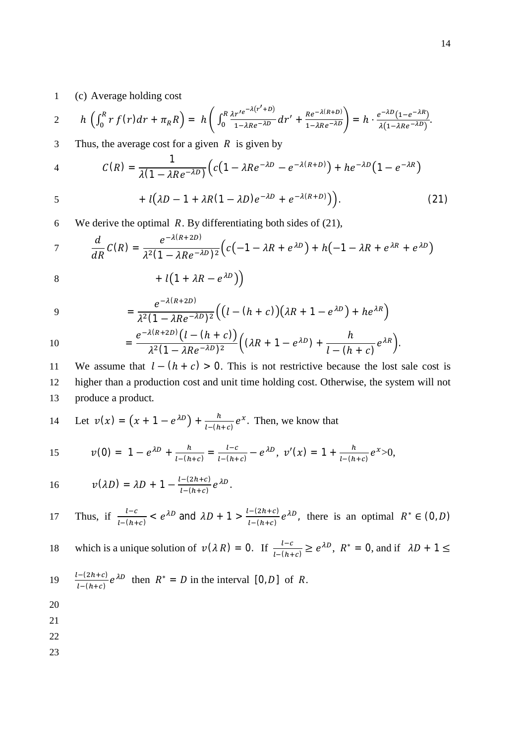### 1 (c) Average holding cost

$$
2 \qquad h\left(\int_0^R r f(r) dr + \pi_R R\right) = h\left(\int_0^R \frac{\lambda r'^{e^{-\lambda(r'+D)}}}{1-\lambda R e^{-\lambda D}} dr' + \frac{R e^{-\lambda(R+D)}}{1-\lambda R e^{-\lambda D}}\right) = h \cdot \frac{e^{-\lambda D}(1-e^{-\lambda R})}{\lambda(1-\lambda R e^{-\lambda D})}.
$$

3 Thus, the average cost for a given  $R$  is given by

4 
$$
C(R) = \frac{1}{\lambda(1 - \lambda Re^{-\lambda D})} \Big( c(1 - \lambda Re^{-\lambda D} - e^{-\lambda(R+D)}) + he^{-\lambda D} (1 - e^{-\lambda R})
$$

$$
+ l(\lambda D - 1 + \lambda R(1 - \lambda D)e^{-\lambda D} + e^{-\lambda (R+D)}).
$$
 (21)

6 We derive the optimal  $R$ . By differentiating both sides of (21),

$$
7 \t \frac{d}{dR} C(R) = \frac{e^{-\lambda(R+2D)}}{\lambda^2(1-\lambda Re^{-\lambda D})^2} \Big( c\big(-1-\lambda R + e^{\lambda D}\big) + h\big(-1-\lambda R + e^{\lambda R} + e^{\lambda D}\big)
$$

$$
8 + l(1 + \lambda R - e^{\lambda D})
$$

9 
$$
= \frac{e^{-\lambda(R+2D)}}{\lambda^2(1-\lambda Re^{-\lambda D})^2}\Big(\big(l-(h+c)\big)(\lambda R + 1-e^{\lambda D}) + he^{\lambda R}\Big)
$$

10 
$$
= \frac{e^{-\lambda(R+2D)}(l-(h+c))}{\lambda^2(1-\lambda Re^{-\lambda D})^2}\Big((\lambda R+1-e^{\lambda D})+\frac{h}{l-(h+c)}e^{\lambda R}\Big).
$$

11 We assume that  $l - (h + c) > 0$ . This is not restrictive because the lost sale cost is 12 higher than a production cost and unit time holding cost. Otherwise, the system will not 13 produce a product.

14 Let 
$$
v(x) = (x + 1 - e^{\lambda D}) + \frac{h}{l - (h + c)} e^x
$$
. Then, we know that

15 
$$
v(0) = 1 - e^{\lambda D} + \frac{h}{l - (h + c)} = \frac{l - c}{l - (h + c)} - e^{\lambda D}, v'(x) = 1 + \frac{h}{l - (h + c)} e^x > 0,
$$

16 
$$
v(\lambda D) = \lambda D + 1 - \frac{l - (2h + c)}{l - (h + c)} e^{\lambda D}.
$$

Thus, if 
$$
\frac{l-c}{l-(h+c)} < e^{\lambda D}
$$
 and  $\lambda D + 1 > \frac{l-(2h+c)}{l-(h+c)} e^{\lambda D}$ , there is an optimal  $R^* \in (0, D)$ 

18 which is a unique solution of 
$$
v(\lambda R) = 0
$$
. If  $\frac{l-c}{l-(h+c)} \ge e^{\lambda D}$ ,  $R^* = 0$ , and if  $\lambda D + 1 \le$ 

19 
$$
\frac{l-(2h+c)}{l-(h+c)}e^{\lambda D}
$$
 then  $R^* = D$  in the interval [0, D] of R.

20

21

22

23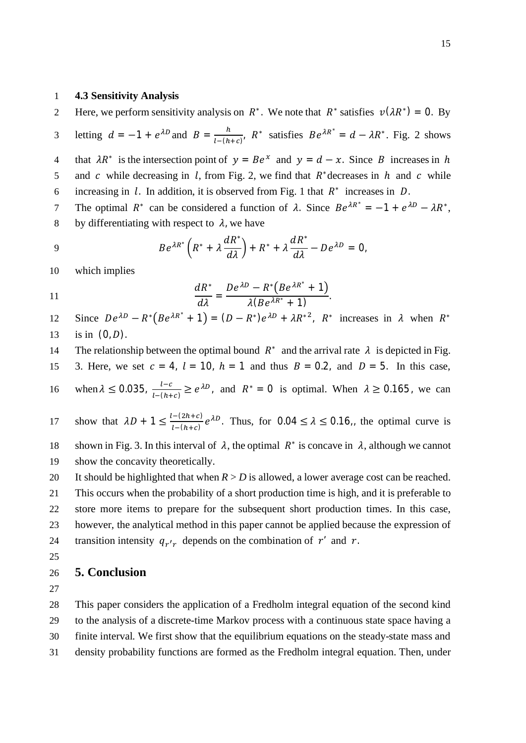#### 1 **4.3 Sensitivity Analysis**

Here, we perform sensitivity analysis on  $R^*$ . We note that  $R^*$  satisfies  $v(\lambda R^*) = 0$ . By

letting  $d = -1 + e^{\lambda D}$  and  $B = \frac{h}{1 - (h)}$ 3 letting  $d = -1 + e^{\lambda D}$  and  $B = \frac{h}{l - (h + c)}$ ,  $R^*$  satisfies  $Be^{\lambda R^*} = d - \lambda R^*$ . Fig. 2 shows 4 that  $\lambda R^*$  is the intersection point of  $y = Be^x$  and  $y = d - x$ . Since B increases in h 5 and  $c$  while decreasing in l, from Fig. 2, we find that  $R^*$  decreases in h and  $c$  while 6 increasing in  $l$ . In addition, it is observed from Fig. 1 that  $R^*$  increases in  $D$ .

The optimal  $R^*$  can be considered a function of  $\lambda$ . Since  $Be^{\lambda R^*} = -1 + e^{\lambda D} - \lambda R^*$ , 8 by differentiating with respect to  $\lambda$ , we have

9 
$$
Be^{\lambda R^*}\left(R^* + \lambda \frac{dR^*}{d\lambda}\right) + R^* + \lambda \frac{dR^*}{d\lambda} - De^{\lambda D} = 0,
$$

10 which implies

11 
$$
\frac{dR^*}{d\lambda} = \frac{De^{\lambda D} - R^* (Be^{\lambda R^*} + 1)}{\lambda (Be^{\lambda R^*} + 1)}.
$$

Since  $De^{\lambda D} - R^* (Be^{\lambda R^*} + 1) = (D - R^*)e^{\lambda D} + \lambda R^{*2}$ ,  $R^*$  increases in  $\lambda$  when  $R^*$ 12 13 is in  $(0, D)$ .

14 The relationship between the optimal bound  $R^*$  and the arrival rate  $\lambda$  is depicted in Fig.

15 3. Here, we set  $c = 4$ ,  $l = 10$ ,  $h = 1$  and thus  $B = 0.2$ , and  $D = 5$ . In this case,

16 when  $\lambda \le 0.035$ ,  $\frac{l-c}{l-(h+c)} \ge e^{\lambda D}$ , and  $R^* = 0$  is optimal. When  $\lambda \ge 0.165$ , we can

show that  $\lambda D + 1 \leq \frac{l-(2h+c)}{l-(h+c)}$ 17 show that  $\lambda D + 1 \leq \frac{1-(\lambda n+c)}{1-(\lambda n+c)} e^{\lambda D}$ . Thus, for  $0.04 \leq \lambda \leq 0.16$ , the optimal curve is

18 shown in Fig. 3. In this interval of  $\lambda$ , the optimal  $R^*$  is concave in  $\lambda$ , although we cannot 19 show the concavity theoretically.

20 It should be highlighted that when  $R > D$  is allowed, a lower average cost can be reached. 21 This occurs when the probability of a short production time is high, and it is preferable to 22 store more items to prepare for the subsequent short production times. In this case, 23 however, the analytical method in this paper cannot be applied because the expression of 24 transition intensity  $q_{r'r}$  depends on the combination of  $r'$  and  $r$ .

25

#### 26 **5. Conclusion**

27

 This paper considers the application of a Fredholm integral equation of the second kind to the analysis of a discrete-time Markov process with a continuous state space having a finite interval. We first show that the equilibrium equations on the steady-state mass and density probability functions are formed as the Fredholm integral equation. Then, under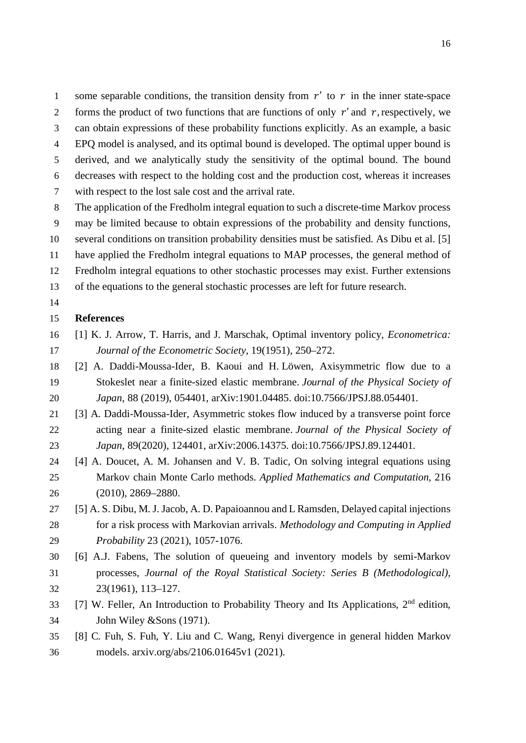1 some separable conditions, the transition density from  $r'$  to  $r$  in the inner state-space 2 forms the product of two functions that are functions of only  $r'$  and  $r$ , respectively, we can obtain expressions of these probability functions explicitly. As an example, a basic EPQ model is analysed, and its optimal bound is developed. The optimal upper bound is

 derived, and we analytically study the sensitivity of the optimal bound. The bound decreases with respect to the holding cost and the production cost, whereas it increases

- with respect to the lost sale cost and the arrival rate.
- The application of the Fredholm integral equation to such a discrete-time Markov process may be limited because to obtain expressions of the probability and density functions, several conditions on transition probability densities must be satisfied. As Dibu et al. [5] have applied the Fredholm integral equations to MAP processes, the general method of Fredholm integral equations to other stochastic processes may exist. Further extensions
- of the equations to the general stochastic processes are left for future research.
- 

#### **References**

- [1] K. J. Arrow, T. Harris, and J. Marschak, Optimal inventory policy, *Econometrica: Journal of the Econometric Society*, 19(1951), 250–272.
- [2] A. Daddi-Moussa-Ider, B. Kaoui and H. Löwen, Axisymmetric flow due to a Stokeslet near a finite-sized elastic membrane. *Journal of the Physical Society of Japan*, 88 (2019), 054401, arXiv:1901.04485. doi:10.7566/JPSJ.88.054401.
- [3] A. Daddi-Moussa-Ider, Asymmetric stokes flow induced by a transverse point force acting near a finite-sized elastic membrane. *Journal of the Physical Society of Japan*, 89(2020), 124401, arXiv:2006.14375. doi:10.7566/JPSJ.89.124401.
- [4] A. Doucet, A. M. Johansen and V. B. Tadic, On solving integral equations using Markov chain Monte Carlo methods. *Applied Mathematics and Computation*, 216 (2010), 2869–2880.
- [5] A. S. Dibu, M. J. Jacob, A. D. Papaioannou and L Ramsden, Delayed capital injections for a risk process with Markovian arrivals. *Methodology and Computing in Applied Probability* 23 (2021), 1057-1076.
- [6] A.J. Fabens, The solution of queueing and inventory models by semi-Markov processes, *Journal of the Royal Statistical Society: Series B (Methodological),* 23(1961), 113–127.
- [7] W. Feller, An Introduction to Probability Theory and Its Applications,  $2<sup>nd</sup>$  edition, John Wiley &Sons (1971).
- [8] C. Fuh, S. Fuh, Y. Liu and C. Wang, Renyi divergence in general hidden Markov models. arxiv.org/abs/2106.01645v1 (2021).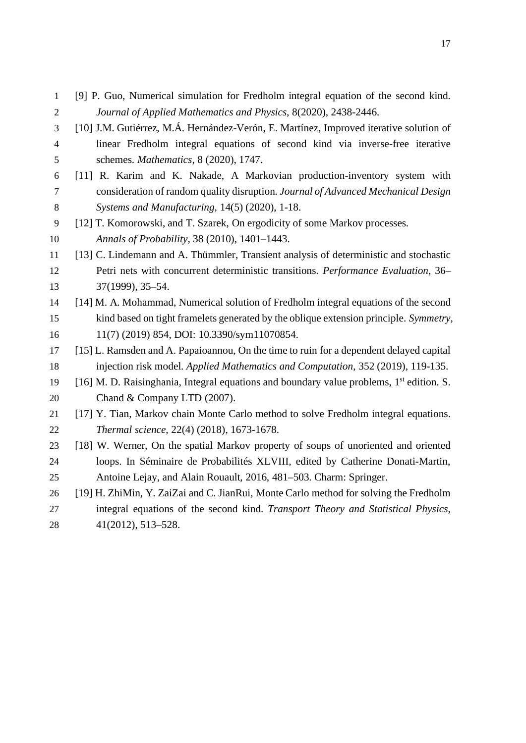- [9] P. Guo, Numerical simulation for Fredholm integral equation of the second kind. *Journal of Applied Mathematics and Physics*, 8(2020), 2438-2446.
- [10] J.M. Gutiérrez, M.Á. Hernández-Verón, E. Martínez, Improved iterative solution of linear Fredholm integral equations of second kind via inverse-free iterative schemes. *Mathematics,* 8 (2020), 1747.
- [11] R. Karim and K. Nakade, A Markovian production-inventory system with consideration of random quality disruption. *Journal of Advanced Mechanical Design Systems and Manufacturing*, 14(5) (2020), 1-18.
- [12] T. Komorowski, and T. Szarek, On ergodicity of some Markov processes. *Annals of Probability,* 38 (2010), 1401–1443.
- [13] C. Lindemann and A. Thümmler, Transient analysis of deterministic and stochastic Petri nets with concurrent deterministic transitions. *Performance Evaluation*, 36– 37(1999), 35–54.
- [14] M. A. Mohammad, Numerical solution of Fredholm integral equations of the second kind based on tight framelets generated by the oblique extension principle. *Symmetry*, 11(7) (2019) 854, DOI: 10.3390/sym11070854.
- [15] L. Ramsden and A. Papaioannou, On the time to ruin for a dependent delayed capital injection risk model. *Applied Mathematics and Computation*, 352 (2019), 119-135.
- [16] M. D. Raisinghania, Integral equations and boundary value problems,  $1<sup>st</sup>$  edition. S. 20 Chand & Company LTD (2007).
- [17] Y. Tian, Markov chain Monte Carlo method to solve Fredholm integral equations. *Thermal science*, 22(4) (2018), 1673-1678.
- [18] W. Werner, On the spatial Markov property of soups of unoriented and oriented loops. In Séminaire de Probabilités XLVIII, edited by Catherine Donati-Martin, Antoine Lejay, and Alain Rouault, 2016, 481–503. Charm: Springer.
- [19] H. ZhiMin, Y. ZaiZai and C. JianRui, Monte Carlo method for solving the Fredholm integral equations of the second kind. *Transport Theory and Statistical Physics*, 41(2012), 513–528.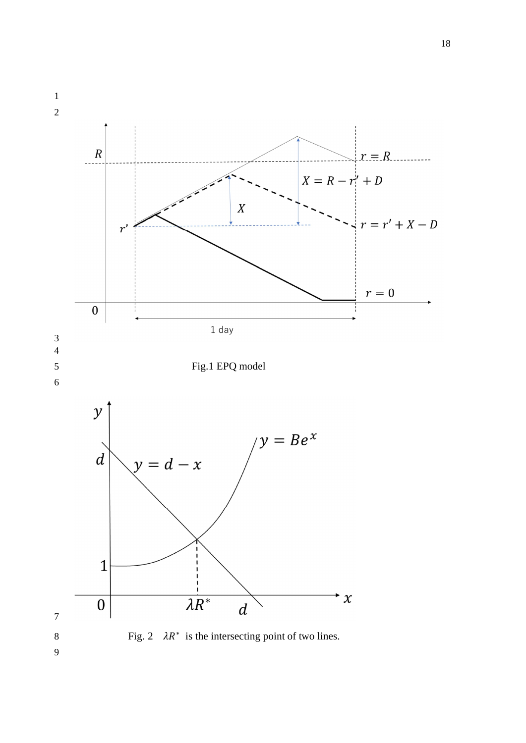